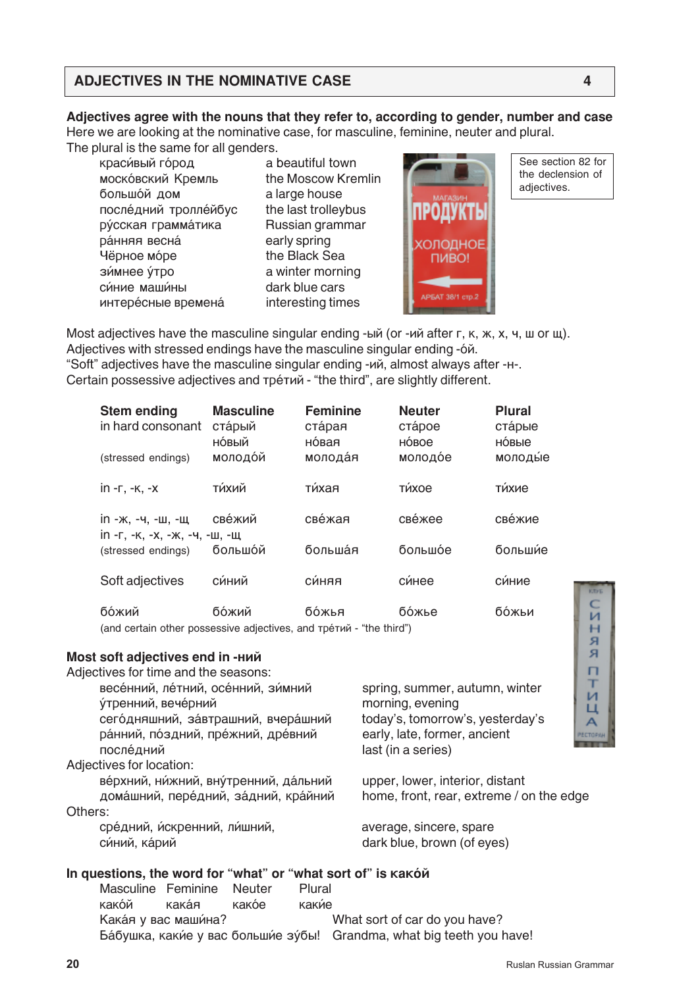# **ADJECTIVES IN THE NOMINATIVE CASE 4**

## **Adjectives agree with the nouns that they refer to, according to gender, number and case**

Here we are looking at the nominative case, for masculine, feminine, neuter and plural. The plural is the same for all genders.

**краси́вый го́род** a beautiful town **моско́вский Кремль** the Moscow Kremlin большой дом a large house после́дний тролле́йбус the last trolleybus DÝССКАЯ ГРАММА́ТИКА Russian grammar DÁHHAA BECHÁ early spring Чёрное мо́ре **have the Black Sea зи́мнее у́тро витро в а winter morning** си́ние маши́ны **i** dark blue cars **интере́сные времена́** interesting times



See section 82 for the declension of adjectives.

Most adjectives have the masculine singular ending -ый (or -ий after  $r$ ,  $\kappa$ ,  $\kappa$ ,  $\kappa$ ,  $\kappa$ ,  $\mu$ ,  $\mu$  or  $\mu$ ). Adjectives with stressed endings have the masculine singular ending -6 $\check{\alpha}$ . "Soft" adjectives have the masculine singular ending - $\mu$ й, almost always after - $H$ -. Certain possessive adjectives and тре́тий - "the third", are slightly different.

| <b>Stem ending</b><br>in hard consonant            | <b>Masculine</b><br>ста́рый<br>но́вый | <b>Feminine</b><br>ста́рая<br>новая | <b>Neuter</b><br>crápoe<br>HÓBOE | <b>Plural</b><br>ста́рые<br>новые |
|----------------------------------------------------|---------------------------------------|-------------------------------------|----------------------------------|-----------------------------------|
| (stressed endings)                                 | молодой                               | молода́я                            | молодое                          | молодые                           |
| $in -r, -\kappa, -x$                               | ти́хий                                | ти́хая                              | ти́хое                           | ти́хие                            |
| in -ж, -ч, -ш, -щ<br>in -г, -к, -х, -ж, -ч, -ш, -щ | свежий                                | све́жая                             | све́жее                          | све́жие                           |
| (stressed endings)                                 | большой                               | больша́я                            | большое                          | большие                           |
| Soft adjectives                                    | синий                                 | си́няя                              | си́нее                           | си́ние                            |
| бо́жий                                             | бо́жий                                | бо́жья                              | бо́жье                           | бо́жьи                            |

(and certain other possessive adjectives, and тре́тий - "the third")

### **Most soft adjectives end in -ний**

Adjectives for time and the seasons:

весе́нний, ле́тний, осе́нний, зи́мний spring, summer, autumn, winter <u>у́тренний, вече́рний саманий мотопіпа, evening</u> сего́дняшний, завтрашний, вчера́шний today's, tomorrow's, yesterday's ра́нний, по́здний, пре́жний, дре́вний early, late, former, ancient после́дний in a series)

Adjectives for location:

ве́рхний, ни́жний, вну́тренний, да́льний upper, lower, interior, distant дома́шний, пере́дний, за́дний, кра́йний home, front, rear, extreme / on the edge Others:

сре́дний, и́скренний, ли́шний, историй аverage, sincere, spare cи́ний, ка́рий and compared are dark blue, brown (of eyes)

### In questions, the word for "what" or "what sort of" is **KaK**Ó $\check{\theta}$

Masculine Feminine Neuter Plural kakóй kakán kakóe kakúe Kака́я у вас маши́на? What sort of car do you have? Ба́бушка, каки́е у вас больши́е зу́бы! Grandma, what big teeth you have!

М  $H$ Я я п T и п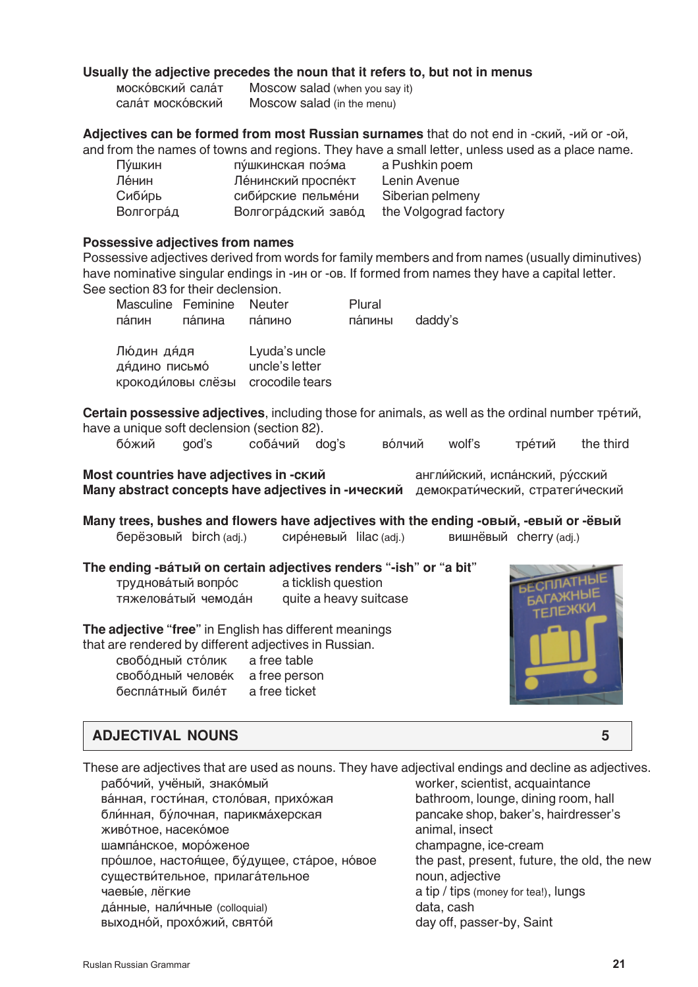### **Usually the adjective precedes the noun that it refers to, but not in menus**

| московский салат | Moscow salad (when you say it) |
|------------------|--------------------------------|
| салат московский | Moscow salad (in the menu)     |

**Adjectives can be formed from most Russian surnames** that do not end in -ский, -ий ог -ой, and from the names of towns and regions. They have a small letter, unless used as a place name.

| Пушкин    | пушкинская поэма    | a Pushkin poem        |
|-----------|---------------------|-----------------------|
| Ле́нин    | Ленинский проспект  | Lenin Avenue          |
| Сибирь    | сибирские пельмени  | Siberian pelmeny      |
| Волгоград | Волгоградский завод | the Volgograd factory |

#### **Possessive adjectives from names**

Possessive adjectives derived from words for family members and from names (usually diminutives) have nominative singular endings in - $\mu$ н or -ob. If formed from names they have a capital letter. See section 83 for their declension.

|        | Masculine Feminine Neuter |         | Plural  |         |
|--------|---------------------------|---------|---------|---------|
| па́пин | па́пина                   | па́пино | па́пины | daddy's |

| Лю́дин дя́дя      | Lyuda's uncle   |
|-------------------|-----------------|
| ДЯ́ДИНО ПИСЬМО    | uncle's letter  |
| крокодиловы слёзы | crocodile tears |

**Certain possessive adjectives**, including those for animals, as well as the ordinal number тре́тий, have a unique soft declension (section 82).

|  |  |  | бо́жий god's соба́чий dog's во́лчий wolf's тре́тий the third |  |
|--|--|--|--------------------------------------------------------------|--|
|  |  |  |                                                              |  |

**Most countries have adjectives in -ский hereifically** англи́йский, испа́нский, ру́сский **Many abstract concepts have adjectives in -ический** демократи́ческий, стратеги́ческий

Many trees, bushes and flowers have adjectives with the ending -овый, -евый ог -ёвый берёзовый birch (adj.) сире́невый lilac (adj.) вишнёвый cherry (adj.)

|                      | The ending - ватый on certain adjectives renders "-ish" or "a bit" |
|----------------------|--------------------------------------------------------------------|
| труднова́тый вопро́с | a ticklish question                                                |
| тяжеловатый чемодан  | quite a heavy suitcase                                             |
|                      |                                                                    |

**The adjective "free"** in English has different meanings

that are rendered by different adjectives in Russian. свобо́дный сто́лик a free table свобо́дный челове́к a free person бесплатный биле́т a free ticket



## **ADJECTIVAL NOUNS 5**

These are adjectives that are used as nouns. They have adjectival endings and decline as adjectives. рабо́чий, учёный, знако́мый меревались и могкеr, scientist, acquaintance ва́нная, гости́ная, столо́вая, прихо́жая bathroom, lounge, dining room, hall бли́нная, бу́лочная, парикма́херская рапсаке shop, baker's, hairdresser's живо́тное, насеко́мое **серейности аталий и насе**тности на наседательно на наседательно на наседательно на насед шампа́нское, моро́женое и серевой серевой на серевой на серевой серевой и серевой серевой и серевой и серевой про́шлое, настоя́щее, бу́дущее, ста́рое, но́вое the past, present, future, the old, the new существи́тельное, прилага́тельное **information noun, adjective** ÷àåâ›å, ë¸ãêèå a tip / tips (money for tea!), lungs да́нные, нали́чные (colloquial) и составляет с составление data, cash выходно́й, прохо́жий, свято́й and mean and day off, passer-by, Saint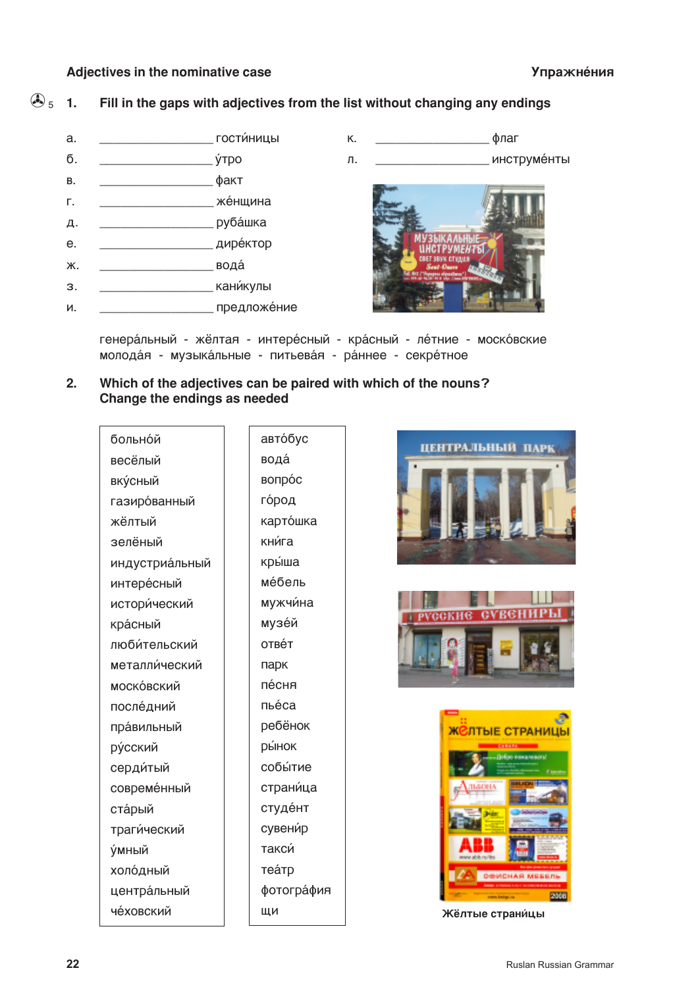### Adiectives in the nominative case

 $\bigodot$  5  $\mathbf{1}$ Fill in the gaps with adjectives from the list without changing any endings



генера́льный - жёлтая - интере́сный - кра́сный - ле́тние - моско́вские молодая - музыкальные - питьевая - раннее - секретное

 $2.$ Which of the adjectives can be paired with which of the nouns? Change the endings as needed

| больной         |  |
|-----------------|--|
| весёлый         |  |
| вку́сный        |  |
| газиро́ванный   |  |
| жёлтый          |  |
| зелёный         |  |
| индустриа́льный |  |
| интере́сный     |  |
| истори́ческий   |  |
| красный         |  |
| люби́тельский   |  |
| металли́ческий  |  |
| моско́вский     |  |
| после́дний      |  |
| пра́вильный     |  |
| ру́сский        |  |
| серди́тый       |  |
| современный     |  |
| ста́рый         |  |
| траги́ческий    |  |
| <b>у́мный</b>   |  |
| холодный        |  |
| центра́льный    |  |
| че́ховский      |  |

автобус вода вопрос го́род карто́шка кни́га кры́ша ме́бель мужчина музей ОТВЕ́Т парк пе́сня **DHÁCA** ребёнок *<u>DЫНОК</u>* собы́тие страница студент сувени́р такси **TEÁTD** фотография ЩИ







Жёлтые страницы